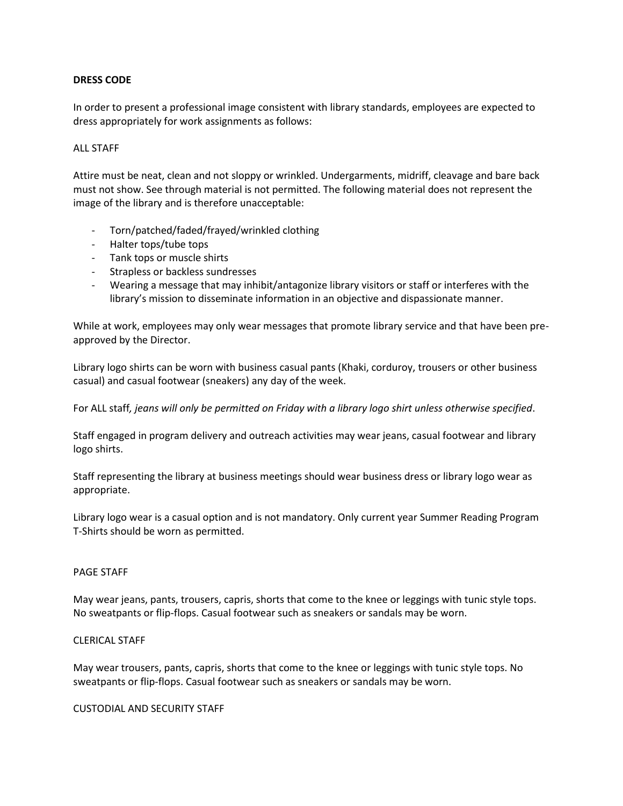# **DRESS CODE**

In order to present a professional image consistent with library standards, employees are expected to dress appropriately for work assignments as follows:

# ALL STAFF

Attire must be neat, clean and not sloppy or wrinkled. Undergarments, midriff, cleavage and bare back must not show. See through material is not permitted. The following material does not represent the image of the library and is therefore unacceptable:

- Torn/patched/faded/frayed/wrinkled clothing
- Halter tops/tube tops
- Tank tops or muscle shirts
- Strapless or backless sundresses
- Wearing a message that may inhibit/antagonize library visitors or staff or interferes with the library's mission to disseminate information in an objective and dispassionate manner.

While at work, employees may only wear messages that promote library service and that have been preapproved by the Director.

Library logo shirts can be worn with business casual pants (Khaki, corduroy, trousers or other business casual) and casual footwear (sneakers) any day of the week.

For ALL staff*, jeans will only be permitted on Friday with a library logo shirt unless otherwise specified*.

Staff engaged in program delivery and outreach activities may wear jeans, casual footwear and library logo shirts.

Staff representing the library at business meetings should wear business dress or library logo wear as appropriate.

Library logo wear is a casual option and is not mandatory. Only current year Summer Reading Program T-Shirts should be worn as permitted.

### PAGE STAFF

May wear jeans, pants, trousers, capris, shorts that come to the knee or leggings with tunic style tops. No sweatpants or flip-flops. Casual footwear such as sneakers or sandals may be worn.

### CLERICAL STAFF

May wear trousers, pants, capris, shorts that come to the knee or leggings with tunic style tops. No sweatpants or flip-flops. Casual footwear such as sneakers or sandals may be worn.

CUSTODIAL AND SECURITY STAFF